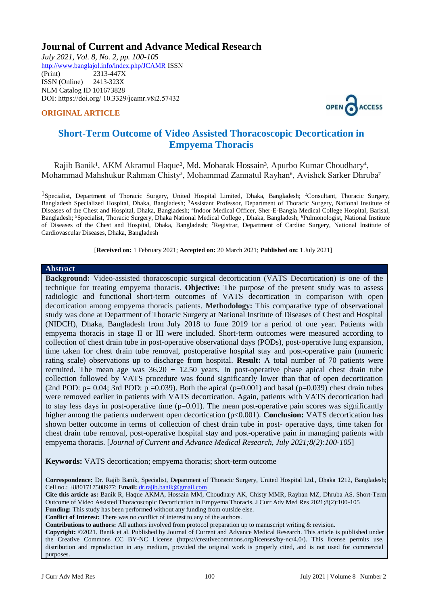# **Journal of Current and Advance Medical Research**

*July 2021, Vol. 8, No. 2, pp. 100-105* <http://www.banglajol.info/index.php/JCAMR>ISSN (Print) 2313-447X<br>ISSN (Online) 2413-323X ISSN (Online) [NLM Catalog I](https://www.ncbi.nlm.nih.gov/nlmcatalog/101673828)D 101673828 DOI: https://doi.org/ 10.3329/jcamr.v8i2.57432

## **ORIGINAL ARTICLE**



# **Short-Term Outcome of Video Assisted Thoracoscopic Decortication in Empyema Thoracis**

Rajib Banik<sup>1</sup>, AKM Akramul Haque<sup>2</sup>, Md. Mobarak Hossain<sup>3</sup>, Apurbo Kumar Choudhary<sup>4</sup>, Mohammad Mahshukur Rahman Chisty<sup>5</sup>, Mohammad Zannatul Rayhan<sup>6</sup>, Avishek Sarker Dhruba<sup>7</sup>

<sup>1</sup>Specialist, Department of Thoracic Surgery, United Hospital Limited, Dhaka, Bangladesh; <sup>2</sup>Consultant, Thoracic Surgery, Bangladesh Specialized Hospital, Dhaka, Bangladesh; <sup>3</sup>Assistant Professor, Department of Thoracic Surgery, National Institute of Diseases of the Chest and Hospital, Dhaka, Bangladesh; <sup>4</sup> Indoor Medical Officer, Sher-E-Bangla Medical College Hospital, Barisal, Bangladesh; <sup>5</sup>Specialist, Thoracic Surgery, Dhaka National Medical College, Dhaka, Bangladesh; <sup>6</sup>Pulmonologist, National Institute of Diseases of the Chest and Hospital, Dhaka, Bangladesh; <sup>7</sup>Registrar, Department of Cardiac Surgery, National Institute of Cardiovascular Diseases, Dhaka, Bangladesh

[**Received on:** 1 February 2021; **Accepted on:** 20 March 2021; **Published on:** 1 July 2021]

#### **Abstract**

**Background:** Video-assisted thoracoscopic surgical decortication (VATS Decortication) is one of the technique for treating empyema thoracis. **Objective:** The purpose of the present study was to assess radiologic and functional short-term outcomes of VATS decortication in comparison with open decortication among empyema thoracis patients. **Methodology:** This comparative type of observational study was done at Department of Thoracic Surgery at National Institute of Diseases of Chest and Hospital (NIDCH), Dhaka, Bangladesh from July 2018 to June 2019 for a period of one year. Patients with empyema thoracis in stage II or III were included. Short-term outcomes were measured according to collection of chest drain tube in post-operative observational days (PODs), post-operative lung expansion, time taken for chest drain tube removal, postoperative hospital stay and post-operative pain (numeric rating scale) observations up to discharge from hospital. **Result:** A total number of 70 patients were recruited. The mean age was  $36.20 \pm 12.50$  years. In post-operative phase apical chest drain tube collection followed by VATS procedure was found significantly lower than that of open decortication (2nd POD:  $p = 0.04$ ; 3rd POD:  $p = 0.039$ ). Both the apical ( $p=0.001$ ) and basal ( $p=0.039$ ) chest drain tubes were removed earlier in patients with VATS decortication. Again, patients with VATS decortication had to stay less days in post-operative time  $(p=0.01)$ . The mean post-operative pain scores was significantly higher among the patients underwent open decortication ( $p<0.001$ ). **Conclusion:** VATS decortication has shown better outcome in terms of collection of chest drain tube in post- operative days, time taken for chest drain tube removal, post-operative hospital stay and post-operative pain in managing patients with empyema thoracis. [*Journal of Current and Advance Medical Research, July 2021;8(2):100-105*]

**Keywords:** VATS decortication; empyema thoracis; short-term outcome

**Correspondence:** Dr. Rajib Banik, Specialist, Department of Thoracic Surgery, United Hospital Ltd., Dhaka 1212, Bangladesh; Cell no.: +8801717508977; **Email:** [dr.rajib.banik@gmail.com](mailto:dr.rajib.banik@gmail.com)

**Cite this article as:** Banik R, Haque AKMA, Hossain MM, Choudhary AK, Chisty MMR, Rayhan MZ, Dhruba AS. Short-Term Outcome of Video Assisted Thoracoscopic Decortication in Empyema Thoracis. J Curr Adv Med Res 2021;8(2):100-105 Funding: This study has been performed without any funding from outside else.

**Conflict of Interest:** There was no conflict of interest to any of the authors.

**Contributions to authors:** All authors involved from protocol preparation up to manuscript writing & revision.

**Copyright:** ©2021. Banik et al. Published by Journal of Current and Advance Medical Research. This article is published under the Creative Commons CC BY-NC License (https://creativecommons.org/licenses/by-nc/4.0/). This license permits use, distribution and reproduction in any medium, provided the original work is properly cited, and is not used for commercial purposes.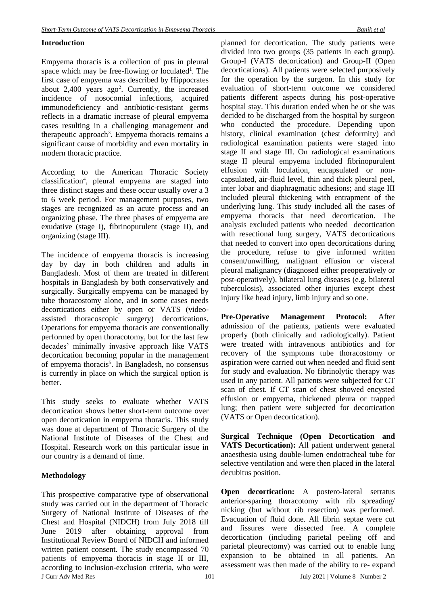#### **Introduction**

Empyema thoracis is a collection of pus in pleural space which may be free-flowing or loculated<sup>1</sup>. The first case of empyema was described by Hippocrates about  $2,400$  years ago<sup>2</sup>. Currently, the increased incidence of nosocomial infections, acquired immunodeficiency and antibiotic-resistant germs reflects in a dramatic increase of pleural empyema cases resulting in a challenging management and therapeutic approach<sup>3</sup>. Empyema thoracis remains a significant cause of morbidity and even mortality in modern thoracic practice.

According to the American Thoracic Society classification<sup>4</sup> , pleural empyema are staged into three distinct stages and these occur usually over a 3 to 6 week period. For management purposes, two stages are recognized as an acute process and an organizing phase. The three phases of empyema are exudative (stage I), fibrinopurulent (stage II), and organizing (stage III).

The incidence of empyema thoracis is increasing day by day in both children and adults in Bangladesh. Most of them are treated in different hospitals in Bangladesh by both conservatively and surgically. Surgically empyema can be managed by tube thoracostomy alone, and in some cases needs decortications either by open or VATS (videoassisted thoracoscopic surgery) decortications. Operations for empyema thoracis are conventionally performed by open thoracotomy, but for the last few decades' minimally invasive approach like VATS decortication becoming popular in the management of empyema thoracis<sup>5</sup>. In Bangladesh, no consensus is currently in place on which the surgical option is better.

This study seeks to evaluate whether VATS decortication shows better short-term outcome over open decortication in empyema thoracis. This study was done at department of Thoracic Surgery of the National Institute of Diseases of the Chest and Hospital. Research work on this particular issue in our country is a demand of time.

#### **Methodology**

J Curr Adv Med Res 101 July 2021 | Volume 8 | Number 2 This prospective comparative type of observational study was carried out in the department of Thoracic Surgery of National Institute of Diseases of the Chest and Hospital (NIDCH) from July 2018 till June 2019 after obtaining approval from Institutional Review Board of NIDCH and informed written patient consent. The study encompassed 70 patients of empyema thoracis in stage II or III, according to inclusion-exclusion criteria, who were

planned for decortication. The study patients were divided into two groups (35 patients in each group). Group-I (VATS decortication) and Group-II (Open decortications). All patients were selected purposively for the operation by the surgeon. In this study for evaluation of short-term outcome we considered patients different aspects during his post-operative hospital stay. This duration ended when he or she was decided to be discharged from the hospital by surgeon who conducted the procedure. Depending upon history, clinical examination (chest deformity) and radiological examination patients were staged into stage II and stage III. On radiological examinations stage II pleural empyema included fibrinopurulent effusion with loculation, encapsulated or noncapsulated, air-fluid level, thin and thick pleural peel, inter lobar and diaphragmatic adhesions; and stage III included pleural thickening with entrapment of the underlying lung. This study included all the cases of empyema thoracis that need decortication. The analysis excluded patients who needed decortication with resectional lung surgery, VATS decortications that needed to convert into open decortications during the procedure, refuse to give informed written consent/unwilling, malignant effusion or visceral pleural malignancy (diagnosed either preoperatively or post-operatively), bilateral lung diseases (e.g. bilateral tuberculosis), associated other injuries except chest injury like head injury, limb injury and so one.

**Pre-Operative Management Protocol:** After admission of the patients, patients were evaluated properly (both clinically and radiologically). Patient were treated with intravenous antibiotics and for recovery of the symptoms tube thoracostomy or aspiration were carried out when needed and fluid sent for study and evaluation. No fibrinolytic therapy was used in any patient. All patients were subjected for CT scan of chest. If CT scan of chest showed encysted effusion or empyema, thickened pleura or trapped lung; then patient were subjected for decortication (VATS or Open decortication).

**Surgical Technique (Open Decortication and VATS Decortication):** All patient underwent general anaesthesia using double-lumen endotracheal tube for selective ventilation and were then placed in the lateral decubitus position.

**Open decortication:** A postero-lateral serratus anterior-sparing thoracotomy with rib spreading/ nicking (but without rib resection) was performed. Evacuation of fluid done. All fibrin septae were cut and fissures were dissected free. A complete decortication (including parietal peeling off and parietal pleurectomy) was carried out to enable lung expansion to be obtained in all patients. An assessment was then made of the ability to re- expand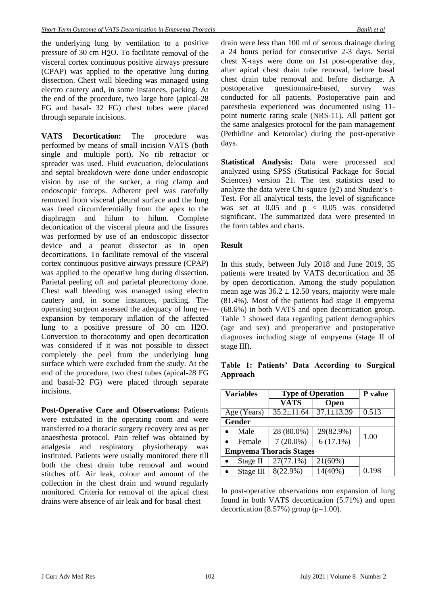the underlying lung by ventilation to a positive pressure of 30 cm H2O. To facilitate removal of the visceral cortex continuous positive airways pressure (CPAP) was applied to the operative lung during dissection. Chest wall bleeding was managed using electro cautery and, in some instances, packing. At the end of the procedure, two large bore (apical-28 FG and basal- 32 FG) chest tubes were placed through separate incisions.

**VATS Decortication:** The procedure was performed by means of small incision VATS (both single and multiple port). No rib retractor or spreader was used. Fluid evacuation, deloculations and septal breakdown were done under endoscopic vision by use of the sucker, a ring clamp and endoscopic forceps. Adherent peel was carefully removed from visceral pleural surface and the lung was freed circumferentially from the apex to the diaphragm and hilum to hilum. Complete decortication of the visceral pleura and the fissures was performed by use of an endoscopic dissector device and a peanut dissector as in open decortications. To facilitate removal of the visceral cortex continuous positive airways pressure (CPAP) was applied to the operative lung during dissection. Parietal peeling off and parietal pleurectomy done. Chest wall bleeding was managed using electro cautery and, in some instances, packing. The operating surgeon assessed the adequacy of lung reexpansion by temporary inflation of the affected lung to a positive pressure of 30 cm H2O. Conversion to thoracotomy and open decortication was considered if it was not possible to dissect completely the peel from the underlying lung surface which were excluded from the study. At the end of the procedure, two chest tubes (apical-28 FG and basal-32 FG) were placed through separate incisions.

**Post-Operative Care and Observations:** Patients were extubated in the operating room and were transferred to a thoracic surgery recovery area as per anaesthesia protocol. Pain relief was obtained by analgesia and respiratory physiotherapy was instituted. Patients were usually monitored there till both the chest drain tube removal and wound stitches off. Air leak, colour and amount of the collection in the chest drain and wound regularly monitored. Criteria for removal of the apical chest drains were absence of air leak and for basal chest

drain were less than 100 ml of serous drainage during a 24 hours period for consecutive 2-3 days. Serial chest X-rays were done on 1st post-operative day, after apical chest drain tube removal, before basal chest drain tube removal and before discharge. A postoperative questionnaire-based, survey was conducted for all patients. Postoperative pain and paresthesia experienced was documented using 11 point numeric rating scale (NRS-11). All patient got the same analgesics protocol for the pain management (Pethidine and Ketorolac) during the post-operative days.

**Statistical Analysis:** Data were processed and analyzed using SPSS (Statistical Package for Social Sciences) version 21. The test statistics used to analyze the data were Chi-square  $(\chi^2)$  and Student's t-Test. For all analytical tests, the level of significance was set at  $0.05$  and  $p < 0.05$  was considered significant. The summarized data were presented in the form tables and charts.

## **Result**

In this study, between July 2018 and June 2019, 35 patients were treated by VATS decortication and 35 by open decortication. Among the study population mean age was  $36.2 \pm 12.50$  years, majority were male (81.4%). Most of the patients had stage II empyema (68.6%) in both VATS and open decortication group. Table 1 showed data regarding patient demographics (age and sex) and preoperative and postoperative diagnoses including stage of empyema (stage II of stage III).

**Table 1: Patients' Data According to Surgical Approach**

|                                | <b>Variables</b> | <b>Type of Operation</b> |                  | P value |  |
|--------------------------------|------------------|--------------------------|------------------|---------|--|
|                                |                  | <b>VATS</b>              | Open             |         |  |
|                                | Age (Years)      | $35.2 \pm 11.64$         | $37.1 \pm 13.39$ | 0.513   |  |
| Gender                         |                  |                          |                  |         |  |
|                                | Male             | 28 (80.0%)               | 29(82.9%)        | 1.00    |  |
|                                | Female           | $7(20.0\%)$              | $6(17.1\%)$      |         |  |
| <b>Empyema Thoracis Stages</b> |                  |                          |                  |         |  |
|                                | Stage II         | $27(77.1\%)$             | 21(60%)          |         |  |
|                                | Stage III        | $8(22.9\%)$              | 14(40%)          | 0.198   |  |

In post-operative observations non expansion of lung found in both VATS decortication (5.71%) and open decortication  $(8.57\%)$  group  $(p=1.00)$ .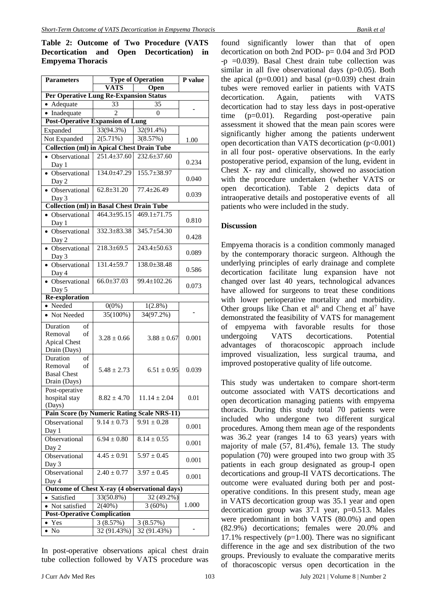**Table 2: Outcome of Two Procedure (VATS Decortication and Open Decortication) in Empyema Thoracis**

| <b>Parameters</b>                                | <b>Type of Operation</b>                               |                   | P value |  |  |  |
|--------------------------------------------------|--------------------------------------------------------|-------------------|---------|--|--|--|
|                                                  | <b>VATS</b>                                            | Open              |         |  |  |  |
| <b>Per Operative Lung Re-Expansion Status</b>    |                                                        |                   |         |  |  |  |
| • Adequate                                       | 33                                                     | 35                |         |  |  |  |
| • Inadequate                                     | $\overline{c}$                                         | $\theta$          |         |  |  |  |
| <b>Post-Operative Expansion of Lung</b>          |                                                        |                   |         |  |  |  |
| Expanded                                         | 33(94.3%)                                              | 32(91.4%)         |         |  |  |  |
| Not Expanded                                     | $2(5.71\%)$                                            | 3(8.57%)          | 1.00    |  |  |  |
|                                                  | <b>Collection (ml) in Apical Chest Drain Tube</b>      |                   |         |  |  |  |
| • Observational                                  | 251.4±37.60                                            | 232.6±37.60       |         |  |  |  |
| Day 1                                            |                                                        |                   | 0.234   |  |  |  |
| • Observational                                  | 134.0±47.29                                            | 155.7±38.97       |         |  |  |  |
| Day 2                                            |                                                        |                   | 0.040   |  |  |  |
| • Observational                                  | $62.8 \pm 31.20$                                       | $77.4 \pm 26.49$  |         |  |  |  |
| Day 3                                            |                                                        |                   | 0.039   |  |  |  |
| <b>Collection (ml) in Basal Chest Drain Tube</b> |                                                        |                   |         |  |  |  |
| • Observational                                  | $464.3 \pm 95.15$                                      | $469.1 \pm 71.75$ |         |  |  |  |
| Day 1                                            |                                                        |                   | 0.810   |  |  |  |
| • Observational                                  | $332.3 \pm 83.38$                                      | 345.7±54.30       |         |  |  |  |
| Day 2                                            |                                                        |                   | 0.428   |  |  |  |
| • Observational                                  | $218.3 \pm 69.5$                                       | $243.4 \pm 50.63$ |         |  |  |  |
| Day 3                                            |                                                        |                   | 0.089   |  |  |  |
| • Observational                                  | $131.4 \pm 59.7$                                       | $138.0 \pm 38.48$ |         |  |  |  |
| Day 4                                            |                                                        |                   | 0.586   |  |  |  |
| • Observational                                  | $66.0 \pm 37.03$                                       | 99.4±102.26       |         |  |  |  |
|                                                  |                                                        |                   | 0.073   |  |  |  |
| Day 5<br><b>Re-exploration</b>                   |                                                        |                   |         |  |  |  |
| • Needed<br>$0(0\%)$<br>$1(2.8\%)$               |                                                        |                   |         |  |  |  |
| • Not Needed                                     | 35(100%)                                               | 34(97.2%)         |         |  |  |  |
|                                                  |                                                        |                   |         |  |  |  |
| Duration<br>of                                   |                                                        |                   |         |  |  |  |
| of<br>Removal                                    | $3.28 \pm 0.66$                                        | $3.88 \pm 0.67$   | 0.001   |  |  |  |
| <b>Apical Chest</b>                              |                                                        |                   |         |  |  |  |
| Drain (Days)                                     |                                                        |                   |         |  |  |  |
| Duration<br>of                                   |                                                        |                   |         |  |  |  |
| Removal<br>of                                    | $5.48 \pm 2.73$                                        | $6.51 \pm 0.95$   | 0.039   |  |  |  |
| <b>Basal Chest</b>                               |                                                        |                   |         |  |  |  |
| Drain (Days)                                     |                                                        |                   |         |  |  |  |
| Post-operative                                   | $8.82 \pm 4.70$                                        | $11.14 \pm 2.04$  |         |  |  |  |
| hospital stay<br>(Days)                          |                                                        |                   | 0.01    |  |  |  |
| Pain Score (by Numeric Rating Scale NRS-11)      |                                                        |                   |         |  |  |  |
| Observational                                    | $9.14 \pm 0.73$                                        | $9.91 \pm 0.28$   |         |  |  |  |
|                                                  |                                                        |                   | 0.001   |  |  |  |
| Day 1                                            | $6.94 \pm 0.80$                                        | $8.14 \pm 0.55$   |         |  |  |  |
| Observational                                    |                                                        |                   | 0.001   |  |  |  |
| Day 2                                            | $4.45 \pm 0.91$                                        | $5.97 \pm 0.45$   |         |  |  |  |
| Observational                                    |                                                        |                   | 0.001   |  |  |  |
| Day 3                                            | $2.40 \pm 0.77$                                        |                   |         |  |  |  |
| Observational                                    |                                                        | $3.97 \pm 0.45$   | 0.001   |  |  |  |
| Day 4                                            |                                                        |                   |         |  |  |  |
| Outcome of Chest X-ray (4 observational days)    |                                                        |                   |         |  |  |  |
| • Satisfied                                      | 33(50.8%)                                              | 32 (49.2%)        | 1.000   |  |  |  |
| • Not satisfied                                  | 2(40%)<br>3(60%)<br><b>Post-Operative Complication</b> |                   |         |  |  |  |
|                                                  |                                                        |                   |         |  |  |  |
| $\bullet$ Yes                                    | 3(8.57%)                                               | 3(8.57%)          |         |  |  |  |
| $\bullet$ No                                     | 32 (91.43%)                                            | 32 (91.43%)       |         |  |  |  |

In post-operative observations apical chest drain tube collection followed by VATS procedure was found significantly lower than that of open decortication on both 2nd POD- p= 0.04 and 3rd POD -p =0.039). Basal Chest drain tube collection was similar in all five observational days  $(p>0.05)$ . Both the apical  $(p=0.001)$  and basal  $(p=0.039)$  chest drain tubes were removed earlier in patients with VATS decortication. Again, patients with VATS decortication had to stay less days in post-operative time (p=0.01). Regarding post-operative pain assessment it showed that the mean pain scores were significantly higher among the patients underwent open decortication than VATS decortication  $(p<0.001)$ in all four post- operative observations. In the early postoperative period, expansion of the lung, evident in Chest X- ray and clinically, showed no association with the procedure undertaken (whether VATS or open decortication). Table 2 depicts data of intraoperative details and postoperative events of all patients who were included in the study.

#### **Discussion**

Empyema thoracis is a condition commonly managed by the contemporary thoracic surgeon. Although the underlying principles of early drainage and complete decortication facilitate lung expansion have not changed over last 40 years, technological advances have allowed for surgeons to treat these conditions with lower perioperative mortality and morbidity. Other groups like Chan et al<sup>6</sup> and Cheng et al<sup>7</sup> have demonstrated the feasibility of VATS for management of empyema with favorable results for those undergoing VATS decortications. Potential advantages of thoracoscopic approach include improved visualization, less surgical trauma, and improved postoperative quality of life outcome.

This study was undertaken to compare short-term outcome associated with VATS decortications and open decortication managing patients with empyema thoracis. During this study total 70 patients were included who undergone two different surgical procedures. Among them mean age of the respondents was 36.2 year (ranges 14 to 63 years) years with majority of male (57, 81.4%), female 13. The study population (70) were grouped into two group with 35 patients in each group designated as group-I open decortications and group-II VATS decortications. The outcome were evaluated during both per and postoperative conditions. In this present study, mean age in VATS decortication group was 35.1 year and open decortication group was 37.1 year, p=0.513. Males were predominant in both VATS (80.0%) and open (82.9%) decortications; females were 20.0% and 17.1% respectively ( $p=1.00$ ). There was no significant difference in the age and sex distribution of the two groups. Previously to evaluate the comparative merits of thoracoscopic versus open decortication in the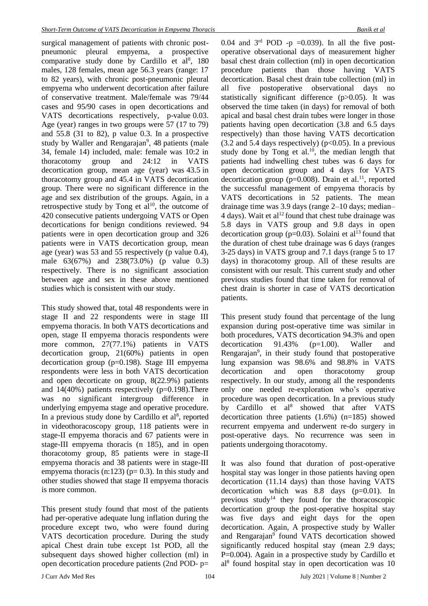surgical management of patients with chronic postpneumonic pleural empyema, a prospective comparative study done by Cardillo et  $al^8$ , 180 males, 128 females, mean age 56.3 years (range: 17 to 82 years), with chronic post-pneumonic pleural empyema who underwent decortication after failure of conservative treatment. Male/female was 79/44 cases and 95/90 cases in open decortications and VATS decortications respectively, p-value 0.03. Age (year) ranges in two groups were 57 (17 to 79) and 55.8 (31 to 82), p value 0.3. In a prospective study by Waller and Rengarajan<sup>9</sup>, 48 patients (male 34, female 14) included, male: female was 10:2 in thoracotomy group and 24:12 in VATS decortication group, mean age (year) was 43.5 in thoracotomy group and 45.4 in VATS decortication group. There were no significant difference in the age and sex distribution of the groups. Again, in a retrospective study by Tong et  $al^{10}$ , the outcome of 420 consecutive patients undergoing VATS or Open decortications for benign conditions reviewed. 94 patients were in open decortication group and 326 patients were in VATS decortication group, mean age (year) was 53 and 55 respectively (p value 0.4), male 63(67%) and 238(73.0%) (p value 0.3) respectively. There is no significant association between age and sex in these above mentioned studies which is consistent with our study.

This study showed that, total 48 respondents were in stage II and 22 respondents were in stage III empyema thoracis. In both VATS decortications and open, stage II empyema thoracis respondents were more common, 27(77.1%) patients in VATS decortication group, 21(60%) patients in open decortication group (p=0.198). Stage III empyema respondents were less in both VATS decortication and open decorticate on group, 8(22.9%) patients and  $14(40%)$  patients respectively (p=0.198). There was no significant intergroup difference in underlying empyema stage and operative procedure. In a previous study done by Cardillo et al<sup>8</sup>, reported in videothoracoscopy group, 118 patients were in stage-II empyema thoracis and 67 patients were in stage-III empyema thoracis (n 185), and in open thoracotomy group, 85 patients were in stage-II empyema thoracis and 38 patients were in stage-III empyema thoracis (n:123) ( $p= 0.3$ ). In this study and other studies showed that stage II empyema thoracis is more common.

This present study found that most of the patients had per-operative adequate lung inflation during the procedure except two, who were found during VATS decortication procedure. During the study apical Chest drain tube except 1st POD, all the subsequent days showed higher collection (ml) in open decortication procedure patients (2nd POD- p=

0.04 and  $3<sup>rd</sup>$  POD -p =0.039). In all the five postoperative observational days of measurement higher basal chest drain collection (ml) in open decortication procedure patients than those having VATS decortication. Basal chest drain tube collection (ml) in all five postoperative observational days no statistically significant difference (p>0.05). It was observed the time taken (in days) for removal of both apical and basal chest drain tubes were longer in those patients having open decortication (3.8 and 6.5 days respectively) than those having VATS decortication  $(3.2 \text{ and } 5.4 \text{ days respectively})$  (p<0.05). In a previous study done by Tong et al.<sup>10</sup>, the median length that patients had indwelling chest tubes was 6 days for open decortication group and 4 days for VATS decortication group ( $p=0.008$ ). Drain et al.<sup>11</sup>, reported the successful management of empyema thoracis by VATS decortications in 52 patients. The mean drainage time was 3.9 days (range 2–10 days; median– 4 days). Wait et al<sup>12</sup> found that chest tube drainage was 5.8 days in VATS group and 9.8 days in open decortication group ( $p=0.03$ ). Solaini et al<sup>13</sup> found that the duration of chest tube drainage was 6 days (ranges 3-25 days) in VATS group and 7.1 days (range 5 to 17 days) in thoracotomy group. All of these results are consistent with our result. This current study and other previous studies found that time taken for removal of chest drain is shorter in case of VATS decortication patients.

This present study found that percentage of the lung expansion during post-operative time was similar in both procedures, VATS decortication 94.3% and open decortication  $91.43\%$  (p=1.00). Waller and Rengarajan<sup>9</sup>, in their study found that postoperative lung expansion was 98.6% and 98.8% in VATS decortication and open thoracotomy group respectively. In our study, among all the respondents only one needed re-exploration who's operative procedure was open decortication. In a previous study by Cardillo et al<sup>8</sup> showed that after VATS decortication three patients (1.6%) (n=185) showed recurrent empyema and underwent re-do surgery in post-operative days. No recurrence was seen in patients undergoing thoracotomy.

It was also found that duration of post-operative hospital stay was longer in those patients having open decortication (11.14 days) than those having VATS decortication which was 8.8 days (p=0.01). In previous study<sup>14</sup> they found for the thoracoscopic decortication group the post-operative hospital stay was five days and eight days for the open decortication. Again, A prospective study by Waller and Rengarajan<sup>9</sup> found VATS decortication showed significantly reduced hospital stay (mean 2.9 days; P=0.004). Again in a prospective study by Cardillo et al8 found hospital stay in open decortication was 10